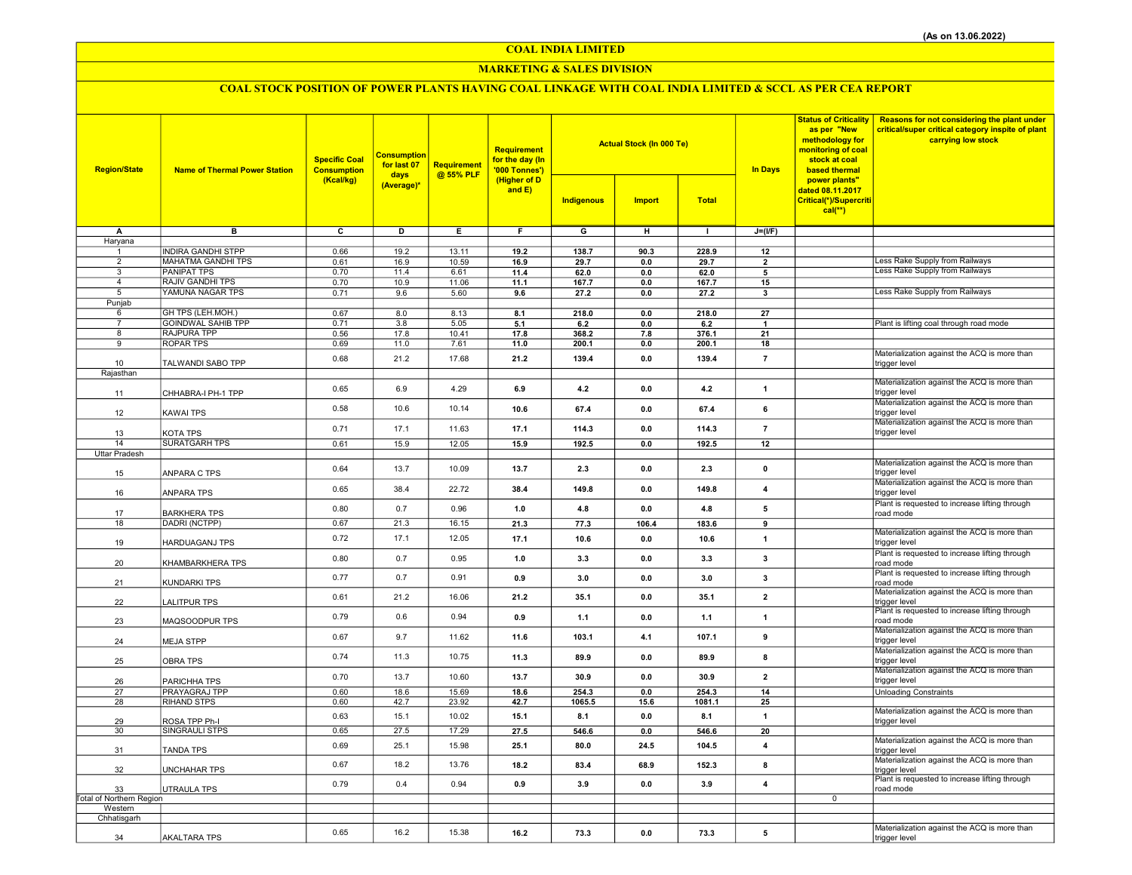COAL INDIA LIMITED

#### MARKETING & SALES DIVISION

## COAL STOCK POSITION OF POWER PLANTS HAVING COAL LINKAGE WITH COAL INDIA LIMITED & SCCL AS PER CEA REPORT

| <b>Region/State</b>             | <b>Name of Thermal Power Station</b> | <b>Specific Coal</b><br><b>Consumption</b> | <b>Consumption</b><br>for last 07<br>days<br>(Average)* | Requirement<br>@ 55% PLF | Requirement<br>for the day (In<br>'000 Tonnes')<br>(Higher of D<br>and E) |                         | <b>Actual Stock (In 000 Te)</b> |              | <b>In Days</b>          | as per "New<br>methodology for<br>monitoring of coal<br>stock at coal<br>based thermal | Status of Criticality   Reasons for not considering the plant under<br>critical/super critical category inspite of plant<br>carrying low stock |
|---------------------------------|--------------------------------------|--------------------------------------------|---------------------------------------------------------|--------------------------|---------------------------------------------------------------------------|-------------------------|---------------------------------|--------------|-------------------------|----------------------------------------------------------------------------------------|------------------------------------------------------------------------------------------------------------------------------------------------|
|                                 |                                      | (Kcal/kg)                                  |                                                         |                          |                                                                           | Indigenous              | <b>Import</b>                   | <b>Total</b> |                         | power plants"<br>dated 08.11.2017<br>Critical(*)/Supercriti<br>$cal$ (**)              |                                                                                                                                                |
| А                               | $\overline{B}$                       | $\overline{\mathbf{c}}$                    | $\overline{\mathsf{D}}$                                 | Έ                        | Ŧ                                                                         | $\overline{\mathsf{G}}$ | $\overline{H}$                  | $\mathbf{I}$ | $J=(I/F)$               |                                                                                        |                                                                                                                                                |
| Haryana                         | <b>INDIRA GANDHI STPP</b>            | 0.66                                       | 19.2                                                    | 13.11                    | 19.2                                                                      | 138.7                   | 90.3                            | 228.9        | 12                      |                                                                                        |                                                                                                                                                |
| $\overline{2}$                  | <b>MAHATMA GANDHI TPS</b>            | 0.61                                       | 16.9                                                    | 10.59                    | 16.9                                                                      | 29.7                    | 0.0                             | 29.7         | $\overline{2}$          |                                                                                        | Less Rake Supply from Railways                                                                                                                 |
| 3                               | <b>PANIPAT TPS</b>                   | 0.70                                       | 11.4                                                    | 6.61                     | 11.4                                                                      | 62.0                    | 0.0                             | 62.0         | 5                       |                                                                                        | Less Rake Supply from Railways                                                                                                                 |
| $\overline{4}$                  | <b>RAJIV GANDHI TPS</b>              | 0.70                                       | 10.9                                                    | 11.06                    | 11.1                                                                      | 167.7                   | 0.0                             | 167.7        | 15                      |                                                                                        |                                                                                                                                                |
| 5                               | YAMUNA NAGAR TPS                     | 0.71                                       | 9.6                                                     | 5.60                     | 9.6                                                                       | 27.2                    | 0.0                             | 27.2         | 3                       |                                                                                        | Less Rake Supply from Railways                                                                                                                 |
| Punjab<br>6                     | GH TPS (LEH.MOH.)                    | 0.67                                       | 8.0                                                     | 8.13                     | 8.1                                                                       | 218.0                   | 0.0                             | 218.0        | 27                      |                                                                                        |                                                                                                                                                |
| $\overline{7}$                  | <b>GOINDWAL SAHIB TPP</b>            | 0.71                                       | 3.8                                                     | 5.05                     | 5.1                                                                       | 6.2                     | 0.0                             | $6.2\,$      |                         |                                                                                        | Plant is lifting coal through road mode                                                                                                        |
| 8                               | <b>RAJPURA TPP</b>                   | 0.56                                       | 17.8                                                    | 10.41                    | 17.8                                                                      | 368.2                   | 7.8                             | 376.1        | 21                      |                                                                                        |                                                                                                                                                |
| $\overline{9}$                  | <b>ROPAR TPS</b>                     | 0.69                                       | 11.0                                                    | 7.61                     | 11.0                                                                      | 200.1                   | 0.0                             | 200.1        | 18                      |                                                                                        |                                                                                                                                                |
|                                 |                                      | 0.68                                       | 21.2                                                    | 17.68                    | 21.2                                                                      | 139.4                   | 0.0                             | 139.4        | $\overline{7}$          |                                                                                        | Materialization against the ACQ is more than                                                                                                   |
| 10<br>Rajasthan                 | TALWANDI SABO TPP                    |                                            |                                                         |                          |                                                                           |                         |                                 |              |                         |                                                                                        | trigger level                                                                                                                                  |
|                                 |                                      |                                            |                                                         |                          |                                                                           |                         |                                 |              |                         |                                                                                        | Materialization against the ACQ is more than                                                                                                   |
| 11                              | CHHABRA-I PH-1 TPP                   | 0.65                                       | 6.9                                                     | 4.29                     | 6.9                                                                       | $4.2\,$                 | 0.0                             | 4.2          | $\mathbf{1}$            |                                                                                        | trigger level                                                                                                                                  |
| 12                              | KAWAI TPS                            | 0.58                                       | 10.6                                                    | 10.14                    | 10.6                                                                      | 67.4                    | 0.0                             | 67.4         | 6                       |                                                                                        | Materialization against the ACQ is more than<br>trigger level                                                                                  |
| 13                              | KOTA TPS                             | 0.71                                       | 17.1                                                    | 11.63                    | 17.1                                                                      | 114.3                   | 0.0                             | 114.3        | $\overline{7}$          |                                                                                        | Materialization against the ACQ is more than<br>trigger level                                                                                  |
| 14                              | <b>SURATGARH TPS</b>                 | 0.61                                       | 15.9                                                    | 12.05                    | 15.9                                                                      | 192.5                   | 0.0                             | 192.5        | 12                      |                                                                                        |                                                                                                                                                |
| Uttar Pradesh                   |                                      |                                            |                                                         |                          |                                                                           |                         |                                 |              |                         |                                                                                        |                                                                                                                                                |
| 15                              | ANPARA C TPS                         | 0.64                                       | 13.7                                                    | 10.09                    | 13.7                                                                      | 2.3                     | 0.0                             | 2.3          | $\pmb{0}$               |                                                                                        | Materialization against the ACQ is more than<br>trigger level                                                                                  |
| 16                              | ANPARA TPS                           | 0.65                                       | 38.4                                                    | 22.72                    | 38.4                                                                      | 149.8                   | 0.0                             | 149.8        | $\overline{\mathbf{4}}$ |                                                                                        | Materialization against the ACQ is more than<br>trigger level                                                                                  |
| 17                              | <b>BARKHERA TPS</b>                  | 0.80                                       | 0.7                                                     | 0.96                     | 1.0                                                                       | 4.8                     | 0.0                             | 4.8          | 5                       |                                                                                        | Plant is requested to increase lifting through<br>road mode                                                                                    |
| 18                              | DADRI (NCTPP)                        | 0.67                                       | 21.3                                                    | 16.15                    | 21.3                                                                      | 77.3                    | 106.4                           | 183.6        | 9                       |                                                                                        |                                                                                                                                                |
| 19                              | HARDUAGANJ TPS                       | 0.72                                       | 17.1                                                    | 12.05                    | 17.1                                                                      | 10.6                    | 0.0                             | 10.6         | $\mathbf{1}$            |                                                                                        | Materialization against the ACQ is more than<br>trigger level                                                                                  |
| 20                              | KHAMBARKHERA TPS                     | 0.80                                       | 0.7                                                     | 0.95                     | 1.0                                                                       | 3.3                     | 0.0                             | 3.3          | 3                       |                                                                                        | Plant is requested to increase lifting through<br>road mode                                                                                    |
| 21                              | KUNDARKI TPS                         | 0.77                                       | 0.7                                                     | 0.91                     | 0.9                                                                       | 3.0                     | 0.0                             | 3.0          | $\mathbf{3}$            |                                                                                        | Plant is requested to increase lifting through<br>road mode                                                                                    |
| 22                              | LALITPUR TPS                         | 0.61                                       | 21.2                                                    | 16.06                    | 21.2                                                                      | 35.1                    | 0.0                             | 35.1         | $\overline{\mathbf{2}}$ |                                                                                        | Materialization against the ACQ is more than<br>trigger level                                                                                  |
| 23                              | MAQSOODPUR TPS                       | 0.79                                       | 0.6                                                     | 0.94                     | 0.9                                                                       | $1.1$                   | 0.0                             | $1.1$        | $\mathbf{1}$            |                                                                                        | Plant is requested to increase lifting through<br>road mode                                                                                    |
| 24                              | <b>MEJA STPP</b>                     | 0.67                                       | 9.7                                                     | 11.62                    | 11.6                                                                      | 103.1                   | 4.1                             | 107.1        | 9                       |                                                                                        | Materialization against the ACQ is more than<br>trigger level                                                                                  |
| 25                              | <b>OBRA TPS</b>                      | 0.74                                       | 11.3                                                    | 10.75                    | 11.3                                                                      | 89.9                    | 0.0                             | 89.9         | 8                       |                                                                                        | Materialization against the ACQ is more than<br>trigger level                                                                                  |
| 26                              | PARICHHA TPS                         | 0.70                                       | 13.7                                                    | 10.60                    | 13.7                                                                      | 30.9                    | 0.0                             | 30.9         | $\overline{\mathbf{2}}$ |                                                                                        | Materialization against the ACQ is more than<br>trigger level                                                                                  |
| 27                              | PRAYAGRAJ TPP                        | 0.60                                       | 18.6                                                    | 15.69                    | 18.6                                                                      | 254.3                   | 0.0                             | 254.3        | 14                      |                                                                                        | <b>Unloading Constraints</b>                                                                                                                   |
| 28                              | <b>RIHAND STPS</b>                   | 0.60                                       | 42.7                                                    | 23.92                    | 42.7                                                                      | 1065.5                  | 15.6                            | 1081.1       | 25                      |                                                                                        | Materialization against the ACQ is more than                                                                                                   |
| 29                              | ROSA TPP Ph-I                        | 0.63                                       | 15.1                                                    | 10.02                    | 15.1                                                                      | 8.1                     | 0.0                             | 8.1          | 1                       |                                                                                        | trigger level                                                                                                                                  |
| 30                              | <b>SINGRAULI STPS</b>                | 0.65                                       | 27.5                                                    | 17.29                    | 27.5                                                                      | 546.6                   | 0.0                             | 546.6        | 20                      |                                                                                        |                                                                                                                                                |
| 31                              | <b>TANDA TPS</b>                     | 0.69                                       | 25.1                                                    | 15.98                    | 25.1                                                                      | 80.0                    | 24.5                            | 104.5        | $\overline{\mathbf{4}}$ |                                                                                        | Materialization against the ACQ is more than<br>trigger level                                                                                  |
| 32                              | UNCHAHAR TPS                         | 0.67                                       | 18.2                                                    | 13.76                    | 18.2                                                                      | 83.4                    | 68.9                            | 152.3        | 8                       |                                                                                        | Materialization against the ACQ is more than<br>trigger level                                                                                  |
| 33                              | UTRAULA TPS                          | 0.79                                       | 0.4                                                     | 0.94                     | 0.9                                                                       | 3.9                     | 0.0                             | 3.9          | $\overline{\mathbf{4}}$ |                                                                                        | Plant is requested to increase lifting through<br>road mode                                                                                    |
| <b>Total of Northern Region</b> |                                      |                                            |                                                         |                          |                                                                           |                         |                                 |              |                         | $\mathbf 0$                                                                            |                                                                                                                                                |
| Western<br>Chhatisgarh          |                                      |                                            |                                                         |                          |                                                                           |                         |                                 |              |                         |                                                                                        |                                                                                                                                                |
|                                 |                                      |                                            |                                                         |                          |                                                                           |                         |                                 |              |                         |                                                                                        | Materialization against the ACQ is more than                                                                                                   |
| 34                              | <b>AKALTARA TPS</b>                  | 0.65                                       | 16.2                                                    | 15.38                    | 16.2                                                                      | 73.3                    | 0.0                             | 73.3         | 5                       |                                                                                        | trigger level                                                                                                                                  |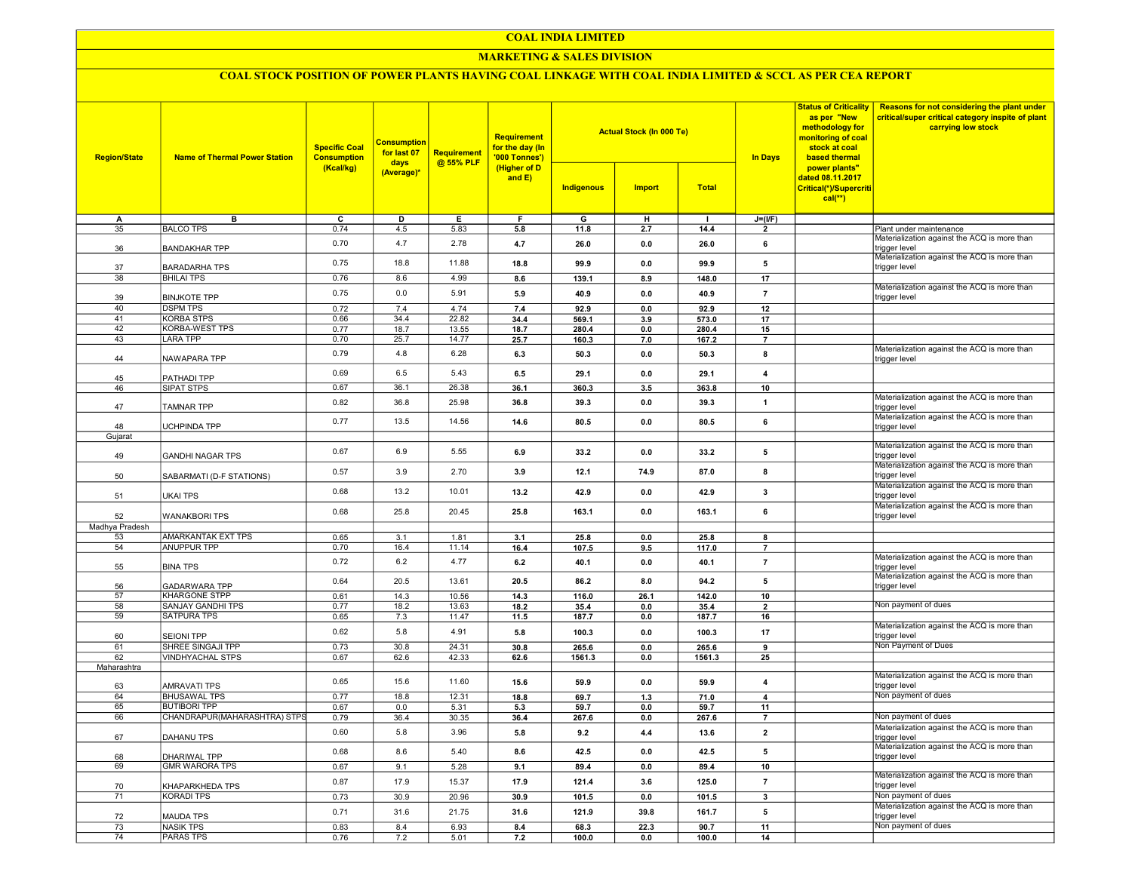#### COAL INDIA LIMITED

#### MARKETING & SALES DIVISION

### COAL STOCK POSITION OF POWER PLANTS HAVING COAL LINKAGE WITH COAL INDIA LIMITED & SCCL AS PER CEA REPORT

| <b>Region/State</b> | <b>Name of Thermal Power Station</b>             | <b>Specific Coal</b><br><b>Consumption</b> | <b>Consumption</b><br>for last 07 | <b>Requirement</b> | Requirement<br>for the day (In<br>'000 Tonnes') |                 | <b>Actual Stock (In 000 Te)</b> |                 | <b>Status of Criticality</b><br>as per "New<br>methodology for<br>monitoring of coal<br>stock at coal<br><b>In Days</b><br>based thermal | Reasons for not considering the plant under<br>critical/super critical category inspite of plant<br>carrying low stock |                                                               |
|---------------------|--------------------------------------------------|--------------------------------------------|-----------------------------------|--------------------|-------------------------------------------------|-----------------|---------------------------------|-----------------|------------------------------------------------------------------------------------------------------------------------------------------|------------------------------------------------------------------------------------------------------------------------|---------------------------------------------------------------|
|                     |                                                  | (Kcal/kg)                                  | days<br>(Average)*                | @ 55% PLF          | (Higher of D<br>and E)                          | Indigenous      | <b>Import</b>                   | <b>Total</b>    |                                                                                                                                          | power plants"<br>dated 08.11.2017<br>Critical(*)/Supercriti<br>$cal$ (**)                                              |                                                               |
| A                   | в                                                | ᢎ                                          | D                                 | Е.                 | F.                                              | G               | н                               | п               | $J=(I/F)$                                                                                                                                |                                                                                                                        |                                                               |
| 35                  | <b>BALCO TPS</b>                                 | 0.74                                       | 4.5                               | 5.83               | 5.8                                             | 11.8            | 2.7                             | 14.4            | $\overline{\phantom{a}}$                                                                                                                 |                                                                                                                        | Plant under maintenance                                       |
| 36                  | <b>BANDAKHAR TPP</b>                             | 0.70                                       | 4.7                               | 2.78               | 4.7                                             | 26.0            | 0.0                             | 26.0            | 6                                                                                                                                        |                                                                                                                        | Materialization against the ACQ is more than<br>trigger level |
| 37                  | <b>BARADARHA TPS</b>                             | 0.75                                       | 18.8                              | 11.88              | 18.8                                            | 99.9            | 0.0                             | 99.9            | 5                                                                                                                                        |                                                                                                                        | Materialization against the ACQ is more than<br>trigger level |
| 38                  | <b>BHILAI TPS</b>                                | 0.76                                       | 8.6                               | 4.99               | 8.6                                             | 139.1           | 8.9                             | 148.0           | 17                                                                                                                                       |                                                                                                                        | Materialization against the ACQ is more than                  |
| 39                  | <b>BINJKOTE TPP</b>                              | 0.75                                       | 0.0                               | 5.91               | 5.9                                             | 40.9            | 0.0                             | 40.9            | $\overline{7}$                                                                                                                           |                                                                                                                        | trigger level                                                 |
| 40<br>41            | <b>DSPM TPS</b>                                  | 0.72                                       | 7.4                               | 4.74               | 7.4                                             | 92.9            | 0.0                             | 92.9            | 12                                                                                                                                       |                                                                                                                        |                                                               |
| 42                  | <b>KORBA STPS</b><br><b>KORBA-WEST TPS</b>       | 0.66<br>0.77                               | 34.4                              | 22.82              | 34.4                                            | 569.1<br>280.4  | 3.9<br>0.0                      | 573.0<br>280.4  | 17<br>15                                                                                                                                 |                                                                                                                        |                                                               |
| 43                  | <b>LARA TPP</b>                                  | 0.70                                       | 18.7<br>25.7                      | 13.55<br>14.77     | 18.7<br>25.7                                    |                 | 7.0                             | 167.2           | $\overline{7}$                                                                                                                           |                                                                                                                        |                                                               |
|                     |                                                  |                                            |                                   |                    |                                                 | 160.3           |                                 |                 |                                                                                                                                          |                                                                                                                        | Materialization against the ACQ is more than                  |
| 44                  | NAWAPARA TPP                                     | 0.79                                       | 4.8                               | 6.28               | 6.3                                             | 50.3            | 0.0                             | 50.3            | 8                                                                                                                                        |                                                                                                                        | trigger level                                                 |
| 45                  | PATHADI TPP                                      | 0.69                                       | 6.5                               | 5.43               | 6.5                                             | 29.1            | 0.0                             | 29.1            | $\overline{4}$                                                                                                                           |                                                                                                                        |                                                               |
| 46                  | SIPAT STPS                                       | 0.67                                       | 36.1                              | 26.38              | 36.1                                            | 360.3           | 3.5                             | 363.8           | 10                                                                                                                                       |                                                                                                                        |                                                               |
| 47                  | <b>TAMNAR TPP</b>                                | 0.82                                       | 36.8                              | 25.98              | 36.8                                            | 39.3            | 0.0                             | 39.3            | $\mathbf{1}$                                                                                                                             |                                                                                                                        | Materialization against the ACQ is more than<br>trigger level |
|                     |                                                  | 0.77                                       | 13.5                              | 14.56              | 14.6                                            | 80.5            | 0.0                             | 80.5            | 6                                                                                                                                        |                                                                                                                        | Materialization against the ACQ is more than                  |
| 48                  | <b>UCHPINDA TPP</b>                              |                                            |                                   |                    |                                                 |                 |                                 |                 |                                                                                                                                          |                                                                                                                        | trigger level                                                 |
| Gujarat             |                                                  |                                            |                                   |                    |                                                 |                 |                                 |                 |                                                                                                                                          |                                                                                                                        | Materialization against the ACQ is more than                  |
| 49                  | <b>GANDHI NAGAR TPS</b>                          | 0.67                                       | 6.9                               | 5.55               | 6.9                                             | 33.2            | 0.0                             | 33.2            | 5                                                                                                                                        |                                                                                                                        | rigger level<br>Materialization against the ACQ is more than  |
| 50                  | SABARMATI (D-F STATIONS)                         | 0.57                                       | 3.9                               | 2.70               | 3.9                                             | 12.1            | 74.9                            | 87.0            | 8                                                                                                                                        |                                                                                                                        | trigger level                                                 |
| 51                  | <b>UKAI TPS</b>                                  | 0.68                                       | 13.2                              | 10.01              | 13.2                                            | 42.9            | 0.0                             | 42.9            | 3                                                                                                                                        |                                                                                                                        | Materialization against the ACQ is more than<br>trigger level |
| 52                  | <b>WANAKBORI TPS</b>                             | 0.68                                       | 25.8                              | 20.45              | 25.8                                            | 163.1           | 0.0                             | 163.1           | 6                                                                                                                                        |                                                                                                                        | Materialization against the ACQ is more than<br>trigger level |
| Madhya Pradesh      |                                                  |                                            |                                   |                    |                                                 |                 |                                 |                 |                                                                                                                                          |                                                                                                                        |                                                               |
| 53                  | AMARKANTAK EXT TPS                               | 0.65                                       | 3.1                               | 1.81               | 3.1                                             | 25.8            | 0.0                             | 25.8            | 8                                                                                                                                        |                                                                                                                        |                                                               |
| 54                  | <b>ANUPPUR TPP</b>                               | 0.70                                       | 16.4                              | 11.14              | 16.4                                            | 107.5           | 9.5                             | 117.0           | $\overline{7}$                                                                                                                           |                                                                                                                        | Materialization against the ACQ is more than                  |
| 55                  | <b>BINA TPS</b>                                  | 0.72                                       | 6.2                               | 4.77               | 6.2                                             | 40.1            | 0.0                             | 40.1            | $\overline{7}$                                                                                                                           |                                                                                                                        | trigger level                                                 |
| 56                  | <b>GADARWARA TPP</b>                             | 0.64                                       | 20.5                              | 13.61              | 20.5                                            | 86.2            | 8.0                             | 94.2            | 5                                                                                                                                        |                                                                                                                        | Materialization against the ACQ is more than<br>trigger level |
| 57<br>58            | <b>KHARGONE STPP</b><br><b>SANJAY GANDHI TPS</b> | 0.61                                       | 14.3                              | 10.56              | 14.3                                            | 116.0           | 26.1                            | 142.0           | 10                                                                                                                                       |                                                                                                                        | Non payment of dues                                           |
| 59                  | <b>SATPURA TPS</b>                               | 0.77<br>0.65                               | 18.2<br>7.3                       | 13.63<br>11.47     | 18.2<br>11.5                                    | 35.4<br>187.7   | 0.0<br>0.0                      | 35.4<br>187.7   | $\overline{2}$<br>16                                                                                                                     |                                                                                                                        |                                                               |
|                     |                                                  | 0.62                                       | 5.8                               | 4.91               | 5.8                                             | 100.3           | 0.0                             | 100.3           | 17                                                                                                                                       |                                                                                                                        | Materialization against the ACQ is more than                  |
| 60                  | <b>SEIONI TPP</b><br>SHREE SINGAJI TPP           |                                            |                                   |                    |                                                 |                 |                                 |                 |                                                                                                                                          |                                                                                                                        | trigger level<br>Non Payment of Dues                          |
| 61<br>62            | <b>VINDHYACHAL STPS</b>                          | 0.73<br>0.67                               | 30.8<br>62.6                      | 24.31<br>42.33     | 30.8<br>62.6                                    | 265.6<br>1561.3 | 0.0<br>0.0                      | 265.6<br>1561.3 | 9<br>25                                                                                                                                  |                                                                                                                        |                                                               |
| Maharashtra         |                                                  |                                            |                                   |                    |                                                 |                 |                                 |                 |                                                                                                                                          |                                                                                                                        |                                                               |
| 63                  | <b>AMRAVATI TPS</b>                              | 0.65                                       | 15.6                              | 11.60              | 15.6                                            | 59.9            | 0.0                             | 59.9            | $\overline{4}$                                                                                                                           |                                                                                                                        | Materialization against the ACQ is more than<br>trigger level |
| 64                  | <b>BHUSAWAL TPS</b>                              | 0.77                                       | 18.8                              | 12.31              | 18.8                                            | 69.7            | 1.3                             | 71.0            | $\overline{4}$                                                                                                                           |                                                                                                                        | Non payment of dues                                           |
| 65                  | <b>BUTIBORI TPP</b>                              | 0.67                                       | 0.0                               | 5.31               | 5.3                                             | 59.7            | 0.0                             | 59.7            | 11                                                                                                                                       |                                                                                                                        |                                                               |
| 66                  | CHANDRAPUR(MAHARASHTRA) STPS                     | 0.79                                       | 36.4                              | 30.35              | 36.4                                            | 267.6           | 0.0                             | 267.6           | $\overline{7}$                                                                                                                           |                                                                                                                        | Non payment of dues                                           |
| 67                  | DAHANU TPS                                       | 0.60                                       | 5.8                               | 3.96               | 5.8                                             | 9.2             | 4.4                             | 13.6            | $\overline{2}$                                                                                                                           |                                                                                                                        | Materialization against the ACQ is more than<br>trigger level |
| 68                  | DHARIWAL TPP                                     | 0.68                                       | 8.6                               | 5.40               | 8.6                                             | 42.5            | 0.0                             | 42.5            | 5                                                                                                                                        |                                                                                                                        | Materialization against the ACQ is more than<br>trigger level |
| 69                  | <b>GMR WARORA TPS</b>                            | 0.67                                       | 9.1                               | 5.28               | 9.1                                             | 89.4            | 0.0                             | 89.4            | 10                                                                                                                                       |                                                                                                                        |                                                               |
| 70                  | KHAPARKHEDA TPS                                  | 0.87                                       | 17.9                              | 15.37              | 17.9                                            | 121.4           | 3.6                             | 125.0           | $\overline{7}$                                                                                                                           |                                                                                                                        | Materialization against the ACQ is more than<br>trigger level |
| 71                  | <b>KORADI TPS</b>                                | 0.73                                       | 30.9                              | 20.96              | 30.9                                            | 101.5           | 0.0                             | 101.5           | $\overline{\mathbf{3}}$                                                                                                                  |                                                                                                                        | Non payment of dues                                           |
| 72                  | <b>MAUDA TPS</b>                                 | 0.71                                       | 31.6                              | 21.75              | 31.6                                            | 121.9           | 39.8                            | 161.7           | 5                                                                                                                                        |                                                                                                                        | Materialization against the ACQ is more than<br>trigger level |
| 73                  | <b>NASIK TPS</b>                                 | 0.83                                       | 8.4                               | 6.93               | 8.4                                             | 68.3            | 22.3                            | 90.7            | 11                                                                                                                                       |                                                                                                                        | Non payment of dues                                           |
| 74                  | <b>PARAS TPS</b>                                 | 0.76                                       | 7.2                               | 5.01               | 7.2                                             | 100.0           | 0.0                             | 100.0           | 14                                                                                                                                       |                                                                                                                        |                                                               |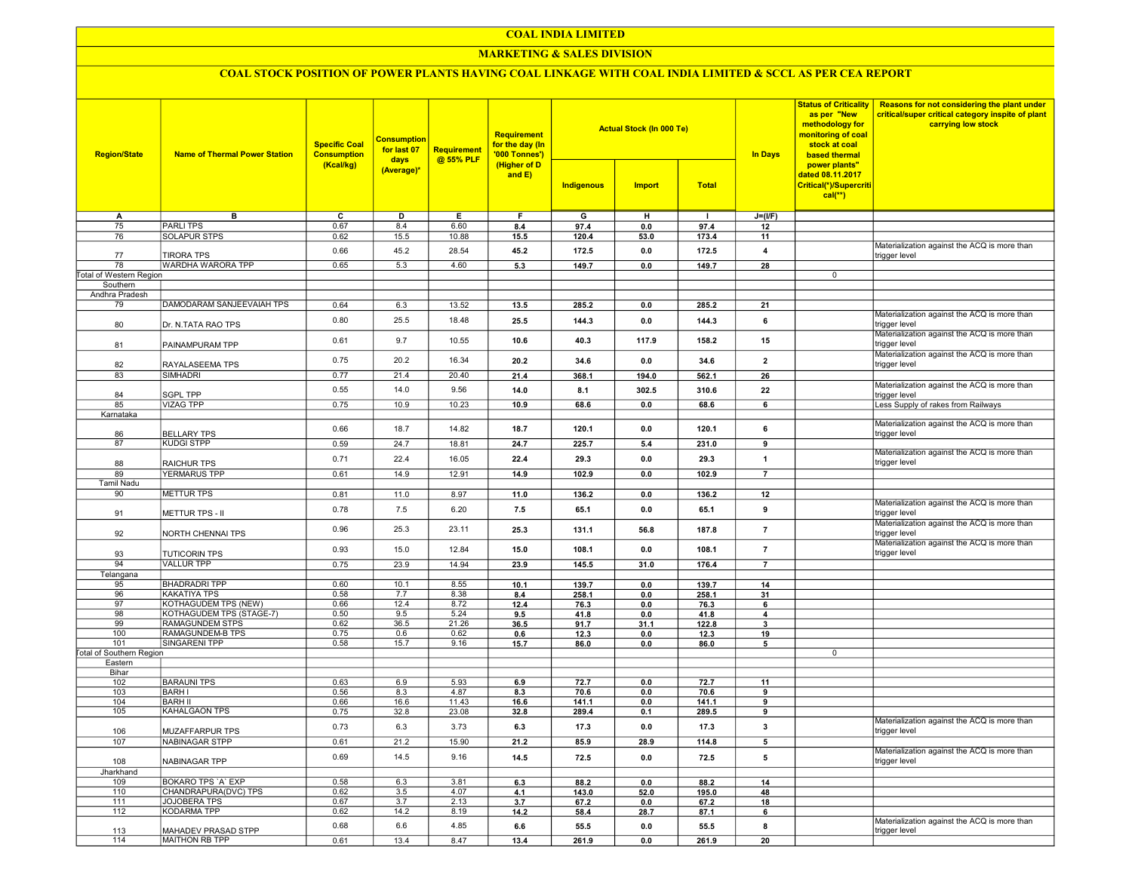### COAL INDIA LIMITED

### **MARKETING & SALES DIVISION**

# COAL STOCK POSITION OF POWER PLANTS HAVING COAL LINKAGE WITH COAL INDIA LIMITED & SCCL AS PER CEA REPORT

| <b>Region/State</b>             | <b>Name of Thermal Power Station</b> | <b>Specific Coal</b><br><b>Consumption</b> | <b>Consumption</b><br>for last 07<br>days<br>(Average)* | <b>Requirement</b><br>@ 55% PLF | <b>Requirement</b><br>for the day (In<br>'000 Tonnes')<br>(Higher of D<br>and $E$ ) |                | <b>Actual Stock (In 000 Te)</b> |                | <b>Status of Criticality</b><br>as per "New<br>methodology for<br>monitoring of coal<br>stock at coal<br><b>In Days</b><br>based thermal | Reasons for not considering the plant under<br>critical/super critical category inspite of plant<br>carrying low stock |                                                               |
|---------------------------------|--------------------------------------|--------------------------------------------|---------------------------------------------------------|---------------------------------|-------------------------------------------------------------------------------------|----------------|---------------------------------|----------------|------------------------------------------------------------------------------------------------------------------------------------------|------------------------------------------------------------------------------------------------------------------------|---------------------------------------------------------------|
|                                 |                                      | (Kcal/kg)                                  |                                                         |                                 |                                                                                     | Indigenous     | <b>Import</b>                   | <b>Total</b>   |                                                                                                                                          | power plants"<br>dated 08.11.2017<br>Critical(*)/Supercriti<br>$cal(**)$                                               |                                                               |
| A                               | в                                    | C                                          | D                                                       | Е.                              | F.                                                                                  | G              | н                               | $\mathbf{I}$   | $J=(I/F)$                                                                                                                                |                                                                                                                        |                                                               |
| 75                              | <b>PARLITPS</b>                      | 0.67                                       | 8.4                                                     | 6.60                            | 8.4                                                                                 | 97.4           | 0.0                             | 97.4           | 12                                                                                                                                       |                                                                                                                        |                                                               |
| 76                              | <b>SOLAPUR STPS</b>                  | 0.62                                       | 15.5                                                    | 10.88                           | 15.5                                                                                | 120.4          | 53.0                            | 173.4          | 11                                                                                                                                       |                                                                                                                        |                                                               |
| 77                              | <b>TIRORA TPS</b>                    | 0.66                                       | 45.2                                                    | 28.54                           | 45.2                                                                                | 172.5          | 0.0                             | 172.5          | 4                                                                                                                                        |                                                                                                                        | Materialization against the ACQ is more than<br>trigger level |
| 78                              | WARDHA WARORA TPP                    | 0.65                                       | 5.3                                                     | 4.60                            | 5.3                                                                                 | 149.7          | 0.0                             | 149.7          | 28                                                                                                                                       |                                                                                                                        |                                                               |
| Total of Western Region         |                                      |                                            |                                                         |                                 |                                                                                     |                |                                 |                |                                                                                                                                          | 0                                                                                                                      |                                                               |
| Southern                        |                                      |                                            |                                                         |                                 |                                                                                     |                |                                 |                |                                                                                                                                          |                                                                                                                        |                                                               |
| Andhra Pradesh                  |                                      |                                            |                                                         |                                 |                                                                                     |                |                                 |                |                                                                                                                                          |                                                                                                                        |                                                               |
| 79                              | DAMODARAM SANJEEVAIAH TPS            | 0.64                                       | 6.3                                                     | 13.52                           | 13.5                                                                                | 285.2          | 0.0                             | 285.2          | 21                                                                                                                                       |                                                                                                                        |                                                               |
|                                 |                                      |                                            |                                                         |                                 |                                                                                     |                |                                 |                |                                                                                                                                          |                                                                                                                        | Materialization against the ACQ is more than                  |
| 80                              | Dr. N.TATA RAO TPS                   | 0.80                                       | 25.5                                                    | 18.48                           | 25.5                                                                                | 144.3          | 0.0                             | 144.3          | 6                                                                                                                                        |                                                                                                                        | trigger level                                                 |
| 81                              | PAINAMPURAM TPP                      | 0.61                                       | 9.7                                                     | 10.55                           | 10.6                                                                                | 40.3           | 117.9                           | 158.2          | 15                                                                                                                                       |                                                                                                                        | Materialization against the ACQ is more than<br>trigger level |
| 82                              | RAYALASEEMA TPS                      | 0.75                                       | 20.2                                                    | 16.34                           | 20.2                                                                                | 34.6           | 0.0                             | 34.6           | $\mathbf{2}$                                                                                                                             |                                                                                                                        | Materialization against the ACQ is more than<br>trigger level |
| 83                              | <b>SIMHADRI</b>                      | 0.77                                       | 21.4                                                    | 20.40                           | 21.4                                                                                | 368.1          | 194.0                           | 562.1          | 26                                                                                                                                       |                                                                                                                        |                                                               |
| 84                              | <b>SGPL TPP</b>                      | 0.55                                       | 14.0                                                    | 9.56                            | 14.0                                                                                | 8.1            | 302.5                           | 310.6          | 22                                                                                                                                       |                                                                                                                        | Materialization against the ACQ is more than<br>trigger level |
| 85                              | <b>VIZAG TPP</b>                     | 0.75                                       | 10.9                                                    | 10.23                           | 10.9                                                                                | 68.6           | 0.0                             | 68.6           | 6                                                                                                                                        |                                                                                                                        | Less Supply of rakes from Railways                            |
| Karnataka                       |                                      |                                            |                                                         |                                 |                                                                                     |                |                                 |                |                                                                                                                                          |                                                                                                                        |                                                               |
| 86                              | <b>BELLARY TPS</b>                   | 0.66                                       | 18.7                                                    | 14.82                           | 18.7                                                                                | 120.1          | 0.0                             | 120.1          | 6                                                                                                                                        |                                                                                                                        | Materialization against the ACQ is more than<br>trigger level |
| 87                              | <b>KUDGI STPP</b>                    | 0.59                                       | 24.7                                                    | 18.81                           | 24.7                                                                                | 225.7          | 5.4                             | 231.0          | 9                                                                                                                                        |                                                                                                                        |                                                               |
|                                 |                                      |                                            |                                                         |                                 |                                                                                     |                |                                 |                |                                                                                                                                          |                                                                                                                        | Materialization against the ACQ is more than                  |
| 88                              | <b>RAICHUR TPS</b>                   | 0.71                                       | 22.4                                                    | 16.05                           | 22.4                                                                                | 29.3           | 0.0                             | 29.3           | $\overline{1}$                                                                                                                           |                                                                                                                        | trigger level                                                 |
| 89                              | <b>YERMARUS TPP</b>                  | 0.61                                       | 14.9                                                    | 12.91                           | 14.9                                                                                | 102.9          | 0.0                             | 102.9          | $\overline{7}$                                                                                                                           |                                                                                                                        |                                                               |
| <b>Tamil Nadu</b>               |                                      |                                            |                                                         |                                 |                                                                                     |                |                                 |                |                                                                                                                                          |                                                                                                                        |                                                               |
| 90                              | <b>METTUR TPS</b>                    | 0.81                                       | 11.0                                                    | 8.97                            | 11.0                                                                                | 136.2          | 0.0                             | 136.2          | 12                                                                                                                                       |                                                                                                                        |                                                               |
|                                 |                                      |                                            |                                                         |                                 |                                                                                     |                |                                 |                |                                                                                                                                          |                                                                                                                        | Materialization against the ACQ is more than                  |
| 91                              | <b>METTUR TPS - II</b>               | 0.78                                       | 7.5                                                     | 6.20                            | 7.5                                                                                 | 65.1           | 0.0                             | 65.1           | 9                                                                                                                                        |                                                                                                                        | trigger level<br>Materialization against the ACQ is more than |
| 92                              | NORTH CHENNAI TPS                    | 0.96                                       | 25.3                                                    | 23.11                           | 25.3                                                                                | 131.1          | 56.8                            | 187.8          | $\overline{7}$                                                                                                                           |                                                                                                                        | trigger level                                                 |
| 93                              | <b>TUTICORIN TPS</b>                 | 0.93                                       | 15.0                                                    | 12.84                           | 15.0                                                                                | 108.1          | 0.0                             | 108.1          | $\overline{7}$                                                                                                                           |                                                                                                                        | Materialization against the ACQ is more than<br>trigger level |
| 94                              | <b>VALLUR TPP</b>                    | 0.75                                       | 23.9                                                    | 14.94                           | 23.9                                                                                | 145.5          | 31.0                            | 176.4          | $\overline{7}$                                                                                                                           |                                                                                                                        |                                                               |
| Telangana                       |                                      |                                            |                                                         |                                 |                                                                                     |                |                                 |                |                                                                                                                                          |                                                                                                                        |                                                               |
| 95                              | <b>BHADRADRI TPP</b>                 | 0.60                                       | 10.1                                                    | 8.55                            | 10.1                                                                                | 139.7          | 0.0                             | 139.7          | 14                                                                                                                                       |                                                                                                                        |                                                               |
| 96                              | <b>KAKATIYA TPS</b>                  | 0.58                                       | 7.7                                                     | 8.38                            | 8.4                                                                                 | 258.1          | 0.0                             | 258.1          | 31                                                                                                                                       |                                                                                                                        |                                                               |
| 97                              | KOTHAGUDEM TPS (NEW)                 | 0.66                                       | 12.4                                                    | 8.72                            | 12.4                                                                                | 76.3           | 0.0                             | 76.3           | 6                                                                                                                                        |                                                                                                                        |                                                               |
| 98                              | KOTHAGUDEM TPS (STAGE-7)             | 0.50                                       | 9.5                                                     | 5.24                            | 9.5                                                                                 | 41.8           | 0.0                             | 41.8           | 4                                                                                                                                        |                                                                                                                        |                                                               |
| 99                              | RAMAGUNDEM STPS                      | 0.62                                       | 36.5                                                    | 21.26                           | 36.5                                                                                | 91.7           | 31.1                            | 122.8          | 3                                                                                                                                        |                                                                                                                        |                                                               |
| 100                             | RAMAGUNDEM-B TPS                     | 0.75                                       | 0.6                                                     | 0.62                            | 0.6                                                                                 | 12.3           | 0.0                             | 12.3           | 19                                                                                                                                       |                                                                                                                        |                                                               |
| 101                             | SINGARENI TPP                        | 0.58                                       | 15.7                                                    | 9.16                            | 15.7                                                                                | 86.0           | 0.0                             | 86.0           | 5                                                                                                                                        |                                                                                                                        |                                                               |
| <b>Total of Southern Region</b> |                                      |                                            |                                                         |                                 |                                                                                     |                |                                 |                |                                                                                                                                          | 0                                                                                                                      |                                                               |
| Eastern                         |                                      |                                            |                                                         |                                 |                                                                                     |                |                                 |                |                                                                                                                                          |                                                                                                                        |                                                               |
| Bihar                           |                                      |                                            |                                                         |                                 |                                                                                     |                |                                 |                |                                                                                                                                          |                                                                                                                        |                                                               |
| 102                             | <b>BARAUNI TPS</b>                   | 0.63                                       | 6.9                                                     | 5.93                            | 6.9                                                                                 | 72.7           | 0.0                             | 72.7           | 11                                                                                                                                       |                                                                                                                        |                                                               |
| 103                             | <b>BARH I</b><br><b>BARH II</b>      | 0.56                                       | 8.3<br>16.6                                             | 4.87                            | 8.3                                                                                 | 70.6           | 0.0                             | 70.6           | 9                                                                                                                                        |                                                                                                                        |                                                               |
| 104<br>105                      | KAHALGAON TPS                        | 0.66<br>0.75                               | 32.8                                                    | 11.43<br>23.08                  | 16.6<br>32.8                                                                        | 141.1<br>289.4 | 0.0<br>0.1                      | 141.1<br>289.5 | 9<br>9                                                                                                                                   |                                                                                                                        |                                                               |
|                                 |                                      |                                            |                                                         |                                 |                                                                                     |                |                                 |                |                                                                                                                                          |                                                                                                                        | Materialization against the ACQ is more than                  |
| 106                             | <b>MUZAFFARPUR TPS</b>               | 0.73                                       | 6.3                                                     | 3.73                            | 6.3                                                                                 | 17.3           | 0.0                             | 17.3           | 3                                                                                                                                        |                                                                                                                        | trigger level                                                 |
| 107                             | NABINAGAR STPP                       | 0.61                                       | 21.2                                                    | 15.90                           | 21.2                                                                                | 85.9           | 28.9                            | 114.8          | 5                                                                                                                                        |                                                                                                                        |                                                               |
| 108                             | <b>NABINAGAR TPP</b>                 | 0.69                                       | 14.5                                                    | 9.16                            | 14.5                                                                                | 72.5           | 0.0                             | 72.5           | 5                                                                                                                                        |                                                                                                                        | Materialization against the ACQ is more than<br>trigger level |
| Jharkhand                       |                                      |                                            |                                                         |                                 |                                                                                     |                |                                 |                |                                                                                                                                          |                                                                                                                        |                                                               |
| 109                             | BOKARO TPS 'A' EXP                   | 0.58                                       | 6.3                                                     | 3.81                            | 6.3                                                                                 | 88.2           | 0.0                             | 88.2           | 14                                                                                                                                       |                                                                                                                        |                                                               |
| 110                             | CHANDRAPURA(DVC) TPS                 | 0.62                                       | 3.5                                                     | 4.07                            | 4.1                                                                                 | 143.0          | 52.0                            | 195.0          | 48                                                                                                                                       |                                                                                                                        |                                                               |
| 111                             | JOJOBERA TPS                         | 0.67                                       | 3.7                                                     | 2.13                            | 3.7                                                                                 | 67.2           | 0.0                             | 67.2           | 18                                                                                                                                       |                                                                                                                        |                                                               |
| 112                             | <b>KODARMA TPP</b>                   | 0.62                                       | 14.2                                                    | 8.19                            | 14.2                                                                                | 58.4           | 28.7                            | 87.1           | 6                                                                                                                                        |                                                                                                                        |                                                               |
| 113                             | MAHADEV PRASAD STPP                  | 0.68                                       | 6.6                                                     | 4.85                            | 6.6                                                                                 | 55.5           | 0.0                             | 55.5           | 8                                                                                                                                        |                                                                                                                        | Materialization against the ACQ is more than<br>trigger level |
| 114                             | <b>MAITHON RB TPP</b>                | 0.61                                       | 13.4                                                    | 8.47                            | 13.4                                                                                | 261.9          | 0.0                             | 261.9          | 20                                                                                                                                       |                                                                                                                        |                                                               |